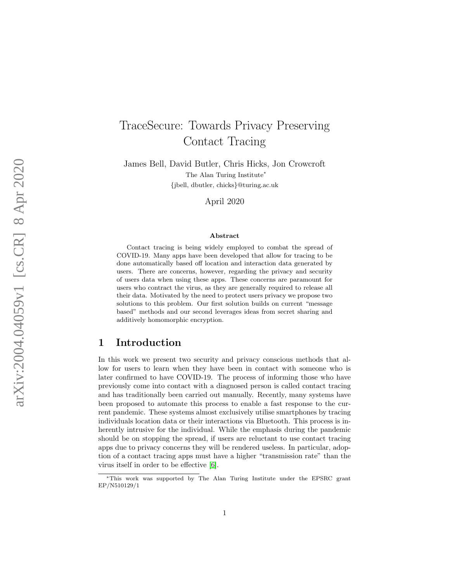# TraceSecure: Towards Privacy Preserving Contact Tracing

James Bell, David Butler, Chris Hicks, Jon Crowcroft The Alan Turing Institute<sup>\*</sup> {jbell, dbutler, chicks }@turing.ac.uk

April 2020

#### Abstract

Contact tracing is being widely employed to combat the spread of COVID-19. Many apps have been developed that allow for tracing to be done automatically based off location and interaction data generated by users. There are concerns, however, regarding the privacy and security of users data when using these apps. These concerns are paramount for users who contract the virus, as they are generally required to release all their data. Motivated by the need to protect users privacy we propose two solutions to this problem. Our first solution builds on current "message based" methods and our second leverages ideas from secret sharing and additively homomorphic encryption.

# 1 Introduction

In this work we present two security and privacy conscious methods that allow for users to learn when they have been in contact with someone who is later confirmed to have COVID-19. The process of informing those who have previously come into contact with a diagnosed person is called contact tracing and has traditionally been carried out manually. Recently, many systems have been proposed to automate this process to enable a fast response to the current pandemic. These systems almost exclusively utilise smartphones by tracing individuals location data or their interactions via Bluetooth. This process is inherently intrusive for the individual. While the emphasis during the pandemic should be on stopping the spread, if users are reluctant to use contact tracing apps due to privacy concerns they will be rendered useless. In particular, adoption of a contact tracing apps must have a higher "transmission rate" than the virus itself in order to be effective [\[6\]](#page-20-0).

<sup>∗</sup>This work was supported by The Alan Turing Institute under the EPSRC grant EP/N510129/1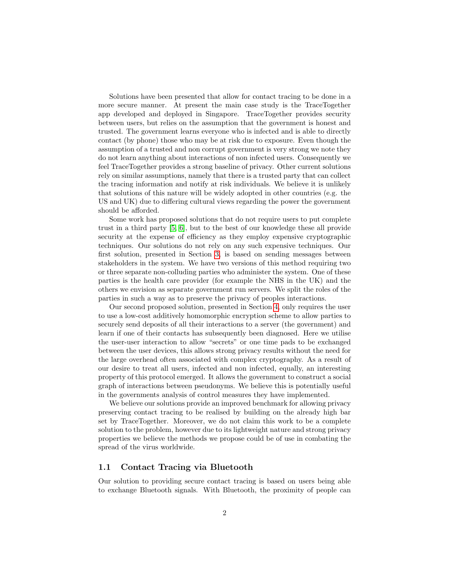Solutions have been presented that allow for contact tracing to be done in a more secure manner. At present the main case study is the TraceTogether app developed and deployed in Singapore. TraceTogether provides security between users, but relies on the assumption that the government is honest and trusted. The government learns everyone who is infected and is able to directly contact (by phone) those who may be at risk due to exposure. Even though the assumption of a trusted and non corrupt government is very strong we note they do not learn anything about interactions of non infected users. Consequently we feel TraceTogether provides a strong baseline of privacy. Other current solutions rely on similar assumptions, namely that there is a trusted party that can collect the tracing information and notify at risk individuals. We believe it is unlikely that solutions of this nature will be widely adopted in other countries (e.g. the US and UK) due to differing cultural views regarding the power the government should be afforded.

Some work has proposed solutions that do not require users to put complete trust in a third party [\[5,](#page-20-1) [6\]](#page-20-0), but to the best of our knowledge these all provide security at the expense of efficiency as they employ expensive cryptographic techniques. Our solutions do not rely on any such expensive techniques. Our first solution, presented in Section [3,](#page-6-0) is based on sending messages between stakeholders in the system. We have two versions of this method requiring two or three separate non-colluding parties who administer the system. One of these parties is the health care provider (for example the NHS in the UK) and the others we envision as separate government run servers. We split the roles of the parties in such a way as to preserve the privacy of peoples interactions.

Our second proposed solution, presented in Section [4,](#page-13-0) only requires the user to use a low-cost additively homomorphic encryption scheme to allow parties to securely send deposits of all their interactions to a server (the government) and learn if one of their contacts has subsequently been diagnosed. Here we utilise the user-user interaction to allow "secrets" or one time pads to be exchanged between the user devices, this allows strong privacy results without the need for the large overhead often associated with complex cryptography. As a result of our desire to treat all users, infected and non infected, equally, an interesting property of this protocol emerged. It allows the government to construct a social graph of interactions between pseudonyms. We believe this is potentially useful in the governments analysis of control measures they have implemented.

We believe our solutions provide an improved benchmark for allowing privacy preserving contact tracing to be realised by building on the already high bar set by TraceTogether. Moreover, we do not claim this work to be a complete solution to the problem, however due to its lightweight nature and strong privacy properties we believe the methods we propose could be of use in combating the spread of the virus worldwide.

# <span id="page-1-0"></span>1.1 Contact Tracing via Bluetooth

Our solution to providing secure contact tracing is based on users being able to exchange Bluetooth signals. With Bluetooth, the proximity of people can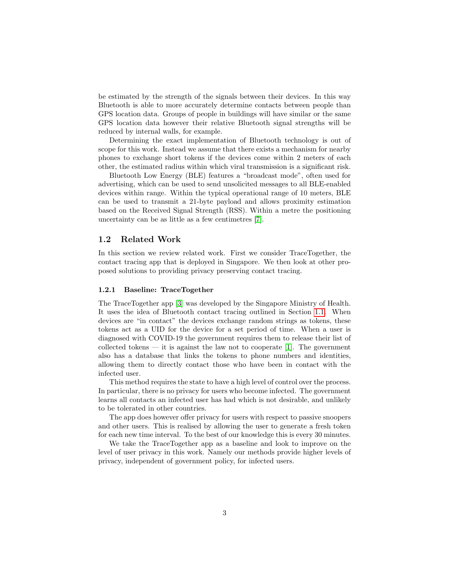be estimated by the strength of the signals between their devices. In this way Bluetooth is able to more accurately determine contacts between people than GPS location data. Groups of people in buildings will have similar or the same GPS location data however their relative Bluetooth signal strengths will be reduced by internal walls, for example.

Determining the exact implementation of Bluetooth technology is out of scope for this work. Instead we assume that there exists a mechanism for nearby phones to exchange short tokens if the devices come within 2 meters of each other, the estimated radius within which viral transmission is a significant risk.

Bluetooth Low Energy (BLE) features a "broadcast mode", often used for advertising, which can be used to send unsolicited messages to all BLE-enabled devices within range. Within the typical operational range of 10 meters, BLE can be used to transmit a 21-byte payload and allows proximity estimation based on the Received Signal Strength (RSS). Within a metre the positioning uncertainty can be as little as a few centimetres [\[7\]](#page-20-2).

## 1.2 Related Work

In this section we review related work. First we consider TraceTogether, the contact tracing app that is deployed in Singapore. We then look at other proposed solutions to providing privacy preserving contact tracing.

#### 1.2.1 Baseline: TraceTogether

The TraceTogether app [\[3\]](#page-20-3) was developed by the Singapore Ministry of Health. It uses the idea of Bluetooth contact tracing outlined in Section [1.1.](#page-1-0) When devices are "in contact" the devices exchange random strings as tokens, these tokens act as a UID for the device for a set period of time. When a user is diagnosed with COVID-19 the government requires them to release their list of collected tokens  $-$  it is against the law not to cooperate [\[1\]](#page-20-4). The government also has a database that links the tokens to phone numbers and identities, allowing them to directly contact those who have been in contact with the infected user.

This method requires the state to have a high level of control over the process. In particular, there is no privacy for users who become infected. The government learns all contacts an infected user has had which is not desirable, and unlikely to be tolerated in other countries.

The app does however offer privacy for users with respect to passive snoopers and other users. This is realised by allowing the user to generate a fresh token for each new time interval. To the best of our knowledge this is every 30 minutes.

We take the TraceTogether app as a baseline and look to improve on the level of user privacy in this work. Namely our methods provide higher levels of privacy, independent of government policy, for infected users.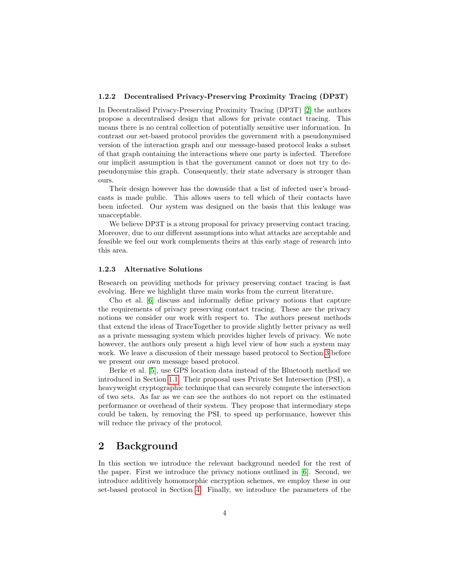#### 1.2.2 Decentralised Privacy-Preserving Proximity Tracing (DP3T)

In Decentralised Privacy-Preserving Proximity Tracing (DP3T) [\[2\]](#page-20-5) the authors propose a decentralised design that allows for private contact tracing. This means there is no central collection of potentially sensitive user information. In contrast our set-based protocol provides the government with a pseudonymised version of the interaction graph and our message-based protocol leaks a subset of that graph containing the interactions where one party is infected. Therefore our implicit assumption is that the government cannot or does not try to depseudonymise this graph. Consequently, their state adversary is stronger than ours.

Their design however has the downside that a list of infected user's broadcasts is made public. This allows users to tell which of their contacts have been infected. Our system was designed on the basis that this leakage was unacceptable.

We believe DP3T is a strong proposal for privacy preserving contact tracing. Moreover, due to our different assumptions into what attacks are acceptable and feasible we feel our work complements theirs at this early stage of research into this area.

#### 1.2.3 Alternative Solutions

Research on providing methods for privacy preserving contact tracing is fast evolving. Here we highlight three main works from the current literature.

Cho et al. [\[6\]](#page-20-0) discuss and informally define privacy notions that capture the requirements of privacy preserving contact tracing. These are the privacy notions we consider our work with respect to. The authors present methods that extend the ideas of TraceTogether to provide slightly better privacy as well as a private messaging system which provides higher levels of privacy. We note however, the authors only present a high level view of how such a system may work. We leave a discussion of their message based protocol to Section [3](#page-6-0) before we present our own message based protocol.

Berke et al. [\[5\]](#page-20-1), use GPS location data instead of the Bluetooth method we introduced in Section [1.1.](#page-1-0) Their proposal uses Private Set Intersection (PSI), a heavyweight cryptographic technique that can securely compute the intersection of two sets. As far as we can see the authors do not report on the estimated performance or overhead of their system. They propose that intermediary steps could be taken, by removing the PSI, to speed up performance, however this will reduce the privacy of the protocol.

# 2 Background

In this section we introduce the relevant background needed for the rest of the paper. First we introduce the privacy notions outlined in [\[6\]](#page-20-0). Second, we introduce additively homomorphic encryption schemes, we employ these in our set-based protocol in Section [4.](#page-13-0) Finally, we introduce the parameters of the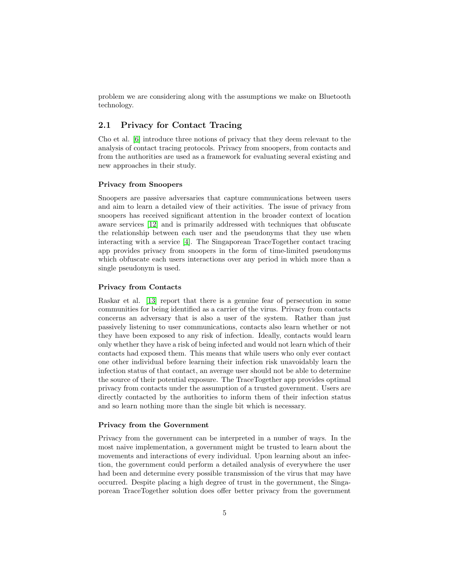problem we are considering along with the assumptions we make on Bluetooth technology.

# <span id="page-4-0"></span>2.1 Privacy for Contact Tracing

Cho et al. [\[6\]](#page-20-0) introduce three notions of privacy that they deem relevant to the analysis of contact tracing protocols. Privacy from snoopers, from contacts and from the authorities are used as a framework for evaluating several existing and new approaches in their study.

#### Privacy from Snoopers

Snoopers are passive adversaries that capture communications between users and aim to learn a detailed view of their activities. The issue of privacy from snoopers has received significant attention in the broader context of location aware services [\[12\]](#page-21-0) and is primarily addressed with techniques that obfuscate the relationship between each user and the pseudonyms that they use when interacting with a service [\[4\]](#page-20-6). The Singaporean TraceTogether contact tracing app provides privacy from snoopers in the form of time-limited pseudonyms which obfuscate each users interactions over any period in which more than a single pseudonym is used.

### Privacy from Contacts

Raskar et al. [\[13\]](#page-21-1) report that there is a genuine fear of persecution in some communities for being identified as a carrier of the virus. Privacy from contacts concerns an adversary that is also a user of the system. Rather than just passively listening to user communications, contacts also learn whether or not they have been exposed to any risk of infection. Ideally, contacts would learn only whether they have a risk of being infected and would not learn which of their contacts had exposed them. This means that while users who only ever contact one other individual before learning their infection risk unavoidably learn the infection status of that contact, an average user should not be able to determine the source of their potential exposure. The TraceTogether app provides optimal privacy from contacts under the assumption of a trusted government. Users are directly contacted by the authorities to inform them of their infection status and so learn nothing more than the single bit which is necessary.

#### Privacy from the Government

Privacy from the government can be interpreted in a number of ways. In the most naive implementation, a government might be trusted to learn about the movements and interactions of every individual. Upon learning about an infection, the government could perform a detailed analysis of everywhere the user had been and determine every possible transmission of the virus that may have occurred. Despite placing a high degree of trust in the government, the Singaporean TraceTogether solution does offer better privacy from the government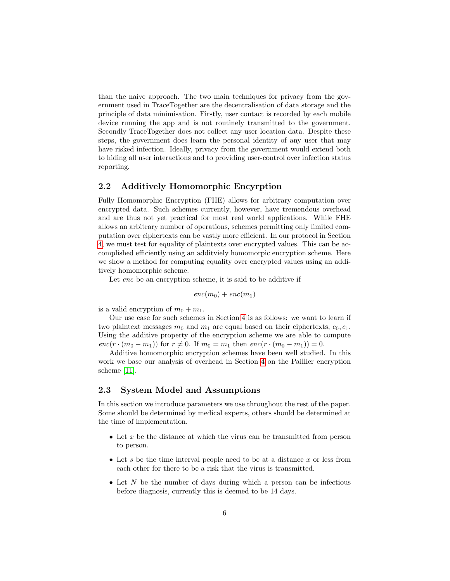than the naive approach. The two main techniques for privacy from the government used in TraceTogether are the decentralisation of data storage and the principle of data minimisation. Firstly, user contact is recorded by each mobile device running the app and is not routinely transmitted to the government. Secondly TraceTogether does not collect any user location data. Despite these steps, the government does learn the personal identity of any user that may have risked infection. Ideally, privacy from the government would extend both to hiding all user interactions and to providing user-control over infection status reporting.

# <span id="page-5-1"></span>2.2 Additively Homomorphic Encyrption

Fully Homomorphic Encryption (FHE) allows for arbitrary computation over encrypted data. Such schemes currently, however, have tremendous overhead and are thus not yet practical for most real world applications. While FHE allows an arbitrary number of operations, schemes permitting only limited computation over ciphertexts can be vastly more efficient. In our protocol in Section [4,](#page-13-0) we must test for equality of plaintexts over encrypted values. This can be accomplished efficiently using an additviely homomorpic encryption scheme. Here we show a method for computing equality over encrypted values using an additively homomorphic scheme.

Let enc be an encryption scheme, it is said to be additive if

$$
enc(m_0) + enc(m_1)
$$

is a valid encryption of  $m_0 + m_1$ .

Our use case for such schemes in Section [4](#page-13-0) is as follows: we want to learn if two plaintext messages  $m_0$  and  $m_1$  are equal based on their ciphertexts,  $c_0, c_1$ . Using the additive property of the encryption scheme we are able to compute  $enc(r \cdot (m_0 - m_1))$  for  $r \neq 0$ . If  $m_0 = m_1$  then  $enc(r \cdot (m_0 - m_1)) = 0$ .

Additive homomorphic encryption schemes have been well studied. In this work we base our analysis of overhead in Section [4](#page-13-0) on the Paillier encryption scheme [\[11\]](#page-20-7).

# <span id="page-5-0"></span>2.3 System Model and Assumptions

In this section we introduce parameters we use throughout the rest of the paper. Some should be determined by medical experts, others should be determined at the time of implementation.

- Let x be the distance at which the virus can be transmitted from person to person.
- Let s be the time interval people need to be at a distance  $x$  or less from each other for there to be a risk that the virus is transmitted.
- Let  $N$  be the number of days during which a person can be infectious before diagnosis, currently this is deemed to be 14 days.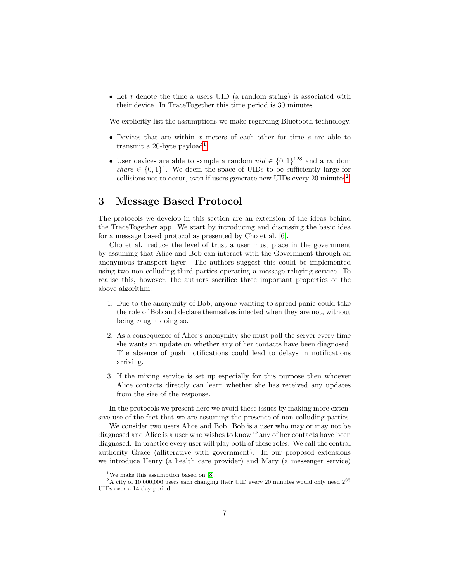• Let t denote the time a users UID (a random string) is associated with their device. In TraceTogether this time period is 30 minutes.

We explicitly list the assumptions we make regarding Bluetooth technology.

- Devices that are within  $x$  meters of each other for time  $s$  are able to transmit a 20-byte payload<sup>[1](#page-6-1)</sup>.
- User devices are able to sample a random  $uid \in \{0,1\}^{128}$  and a random share  $\in \{0,1\}^4$ . We deem the space of UIDs to be sufficiently large for collisions not to occur, even if users generate new UIDs every  $20 \text{ minutes}^2$  $20 \text{ minutes}^2$ .

# <span id="page-6-0"></span>3 Message Based Protocol

The protocols we develop in this section are an extension of the ideas behind the TraceTogether app. We start by introducing and discussing the basic idea for a message based protocol as presented by Cho et al. [\[6\]](#page-20-0).

Cho et al. reduce the level of trust a user must place in the government by assuming that Alice and Bob can interact with the Government through an anonymous transport layer. The authors suggest this could be implemented using two non-colluding third parties operating a message relaying service. To realise this, however, the authors sacrifice three important properties of the above algorithm.

- 1. Due to the anonymity of Bob, anyone wanting to spread panic could take the role of Bob and declare themselves infected when they are not, without being caught doing so.
- 2. As a consequence of Alice's anonymity she must poll the server every time she wants an update on whether any of her contacts have been diagnosed. The absence of push notifications could lead to delays in notifications arriving.
- 3. If the mixing service is set up especially for this purpose then whoever Alice contacts directly can learn whether she has received any updates from the size of the response.

In the protocols we present here we avoid these issues by making more extensive use of the fact that we are assuming the presence of non-colluding parties.

We consider two users Alice and Bob. Bob is a user who may or may not be diagnosed and Alice is a user who wishes to know if any of her contacts have been diagnosed. In practice every user will play both of these roles. We call the central authority Grace (alliterative with government). In our proposed extensions we introduce Henry (a health care provider) and Mary (a messenger service)

<span id="page-6-2"></span><span id="page-6-1"></span><sup>&</sup>lt;sup>1</sup>We make this assumption based on  $[8]$ .

 $2A$  city of 10,000,000 users each changing their UID every 20 minutes would only need  $2^{33}$ UIDs over a 14 day period.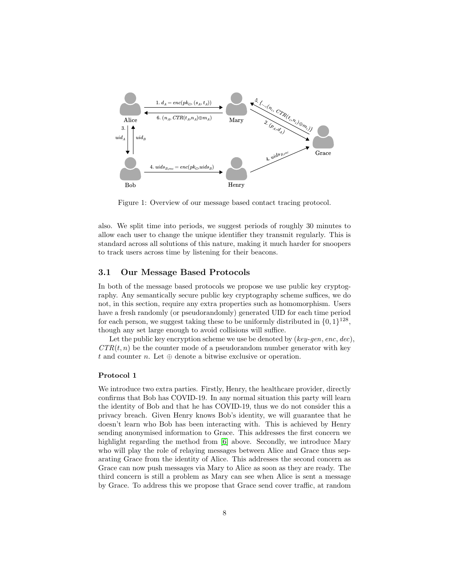

Figure 1: Overview of our message based contact tracing protocol.

also. We split time into periods, we suggest periods of roughly 30 minutes to allow each user to change the unique identifier they transmit regularly. This is standard across all solutions of this nature, making it much harder for snoopers to track users across time by listening for their beacons.

# 3.1 Our Message Based Protocols

In both of the message based protocols we propose we use public key cryptography. Any semantically secure public key cryptography scheme suffices, we do not, in this section, require any extra properties such as homomorphism. Users have a fresh randomly (or pseudorandomly) generated UID for each time period for each person, we suggest taking these to be uniformly distributed in  $\{0, 1\}^{128}$ , though any set large enough to avoid collisions will suffice.

Let the public key encryption scheme we use be denoted by  $(key\text{-}gen, enc, dec)$ ,  $CTR(t, n)$  be the counter mode of a pseudorandom number generator with key t and counter n. Let  $\oplus$  denote a bitwise exclusive or operation.

#### Protocol 1

We introduce two extra parties. Firstly, Henry, the healthcare provider, directly confirms that Bob has COVID-19. In any normal situation this party will learn the identity of Bob and that he has COVID-19, thus we do not consider this a privacy breach. Given Henry knows Bob's identity, we will guarantee that he doesn't learn who Bob has been interacting with. This is achieved by Henry sending anonymised information to Grace. This addresses the first concern we highlight regarding the method from [\[6\]](#page-20-0) above. Secondly, we introduce Mary who will play the role of relaying messages between Alice and Grace thus separating Grace from the identity of Alice. This addresses the second concern as Grace can now push messages via Mary to Alice as soon as they are ready. The third concern is still a problem as Mary can see when Alice is sent a message by Grace. To address this we propose that Grace send cover traffic, at random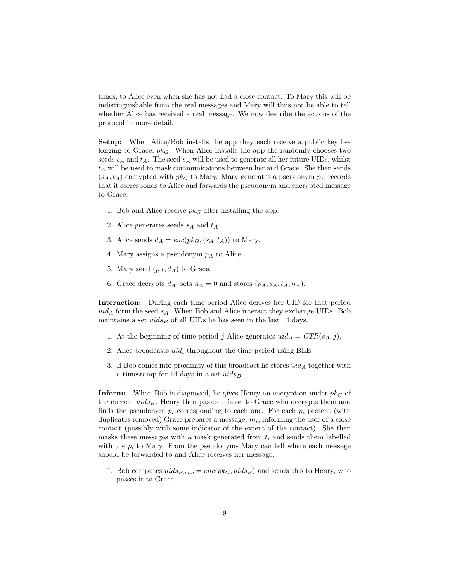times, to Alice even when she has not had a close contact. To Mary this will be indistinguishable from the real messages and Mary will thus not be able to tell whether Alice has received a real message. We now describe the actions of the protocol in more detail.

Setup: When Alice/Bob installs the app they each receive a public key belonging to Grace,  $pk_G$ . When Alice installs the app she randomly chooses two seeds  $s_A$  and  $t_A$ . The seed  $s_A$  will be used to generate all her future UIDs, whilst  $t_A$  will be used to mask communications between her and Grace. She then sends  $(s_A, t_A)$  encrypted with  $pk_G$  to Mary. Mary generates a pseudonym  $p_A$  records that it corresponds to Alice and forwards the pseudonym and encrypted message to Grace.

- 1. Bob and Alice receive  $pk_G$  after installing the app.
- 2. Alice generates seeds  $s_A$  and  $t_A$ .
- 3. Alice sends  $d_A = enc(pk_G, (s_A, t_A))$  to Mary.
- 4. Mary assigns a pseudonym  $p_A$  to Alice.
- 5. Mary send  $(p_A, d_A)$  to Grace.
- 6. Grace decrypts  $d_A$ , sets  $n_A = 0$  and stores  $(p_A, s_A, t_A, n_A)$ .

Interaction: During each time period Alice derives her UID for that period  $uid_A$  form the seed  $s_A$ . When Bob and Alice interact they exchange UIDs. Bob maintains a set  $uids_B$  of all UIDs he has seen in the last 14 days.

- 1. At the beginning of time period j Alice generates  $uid_A = CTR(s_A, j)$ .
- 2. Alice broadcasts  $uid_i$  throughout the time period using BLE.
- 3. If Bob comes into proximity of this broadcast he stores  $uid_A$  together with a timestamp for 14 days in a set  $uids_B$

**Inform:** When Bob is diagnosed, he gives Henry an encryption under  $pk_G$  of the current  $uids_B$ . Henry then passes this on to Grace who decrypts them and finds the pseudonym  $p_i$  corresponding to each one. For each  $p_i$  present (with duplicates removed) Grace prepares a message,  $m_i$ , informing the user of a close contact (possibly with some indicator of the extent of the contact). She then masks these messages with a mask generated from  $t_i$  and sends them labelled with the  $p_i$  to Mary. From the pseudonyms Mary can tell where each message should be forwarded to and Alice receives her message.

1. Bob computes  $uids_{B,enc} = enc(pk_G, uids_B)$  and sends this to Henry, who passes it to Grace.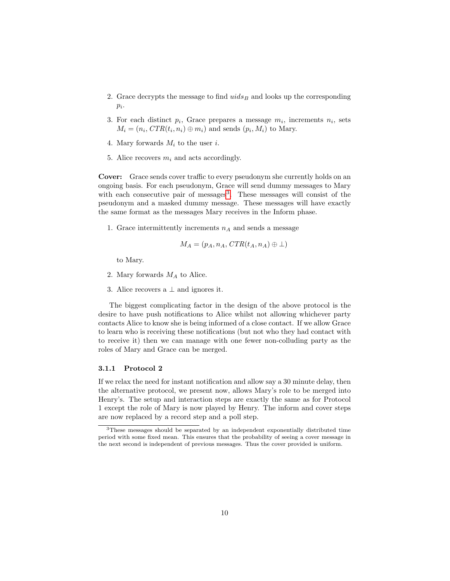- 2. Grace decrypts the message to find  $uids_B$  and looks up the corresponding  $p_i$ .
- 3. For each distinct  $p_i$ , Grace prepares a message  $m_i$ , increments  $n_i$ , sets  $M_i = (n_i, CTR(t_i, n_i) \oplus m_i)$  and sends  $(p_i, M_i)$  to Mary.
- 4. Mary forwards  $M_i$  to the user i.
- 5. Alice recovers  $m_i$  and acts accordingly.

Cover: Grace sends cover traffic to every pseudonym she currently holds on an ongoing basis. For each pseudonym, Grace will send dummy messages to Mary with each consecutive pair of messages<sup>[3](#page-9-0)</sup>. These messages will consist of the pseudonym and a masked dummy message. These messages will have exactly the same format as the messages Mary receives in the Inform phase.

1. Grace intermittently increments  $n_A$  and sends a message

$$
M_A = (p_A, n_A, CTR(t_A, n_A) \oplus \bot)
$$

to Mary.

- 2. Mary forwards  $M_A$  to Alice.
- 3. Alice recovers a  $\perp$  and ignores it.

The biggest complicating factor in the design of the above protocol is the desire to have push notifications to Alice whilst not allowing whichever party contacts Alice to know she is being informed of a close contact. If we allow Grace to learn who is receiving these notifications (but not who they had contact with to receive it) then we can manage with one fewer non-colluding party as the roles of Mary and Grace can be merged.

#### 3.1.1 Protocol 2

If we relax the need for instant notification and allow say a 30 minute delay, then the alternative protocol, we present now, allows Mary's role to be merged into Henry's. The setup and interaction steps are exactly the same as for Protocol 1 except the role of Mary is now played by Henry. The inform and cover steps are now replaced by a record step and a poll step.

<span id="page-9-0"></span><sup>3</sup>These messages should be separated by an independent exponentially distributed time period with some fixed mean. This ensures that the probability of seeing a cover message in the next second is independent of previous messages. Thus the cover provided is uniform.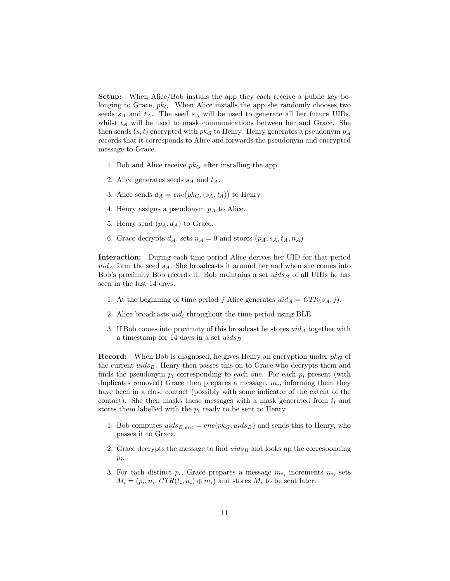Setup: When Alice/Bob installs the app they each receive a public key belonging to Grace,  $pk_G$ . When Alice installs the app she randomly chooses two seeds  $s_A$  and  $t_A$ . The seed  $s_A$  will be used to generate all her future UIDs, whilst  $t_A$  will be used to mask communications between her and Grace. She then sends  $(s, t)$  encrypted with  $pk_G$  to Henry. Henry generates a pseudonym  $p_A$ records that it corresponds to Alice and forwards the pseudonym and encrypted message to Grace.

- 1. Bob and Alice receive  $pk_G$  after installing the app.
- 2. Alice generates seeds  $s_A$  and  $t_A$ .
- 3. Alice sends  $d_A = enc(pk_G, (s_A, t_A))$  to Henry.
- 4. Henry assigns a pseudonym  $p_A$  to Alice.
- 5. Henry send  $(p_A, d_A)$  to Grace.
- 6. Grace decrypts  $d_A$ , sets  $n_A = 0$  and stores  $(p_A, s_A, t_A, n_A)$

Interaction: During each time period Alice derives her UID for that period  $uid_A$  form the seed  $s_A$ . She broadcasts it around her and when she comes into Bob's proximity Bob records it. Bob maintains a set  $uids_B$  of all UIDs he has seen in the last 14 days.

- 1. At the beginning of time period j Alice generates  $uid_A = CTR(s_A, j)$ .
- 2. Alice broadcasts  $uid_i$  throughout the time period using BLE.
- 3. If Bob comes into proximity of this broadcast he stores  $uid_A$  together with a timestamp for 14 days in a set  $uids_B$

**Record:** When Bob is diagnosed, he gives Henry an encryption under  $pk_G$  of the current  $uids_B$ . Henry then passes this on to Grace who decrypts them and finds the pseudonym  $p_i$  corresponding to each one. For each  $p_i$  present (with duplicates removed) Grace then prepares a message,  $m_i$ , informing them they have been in a close contact (possibly with some indicator of the extent of the contact). She then masks these messages with a mask generated from  $t_i$  and stores them labelled with the  $p_i$  ready to be sent to Henry.

- 1. Bob computes  $uids_{B,enc} = enc(pk_G, uids_B)$  and sends this to Henry, who passes it to Grace.
- 2. Grace decrypts the message to find  $uids_B$  and looks up the corresponding  $p_i$ .
- 3. For each distinct  $p_i$ , Grace prepares a message  $m_i$ , increments  $n_i$ , sets  $M_i = (p_i, n_i, CTR(t_i, n_i) \oplus m_i)$  and stores  $M_i$  to be sent later.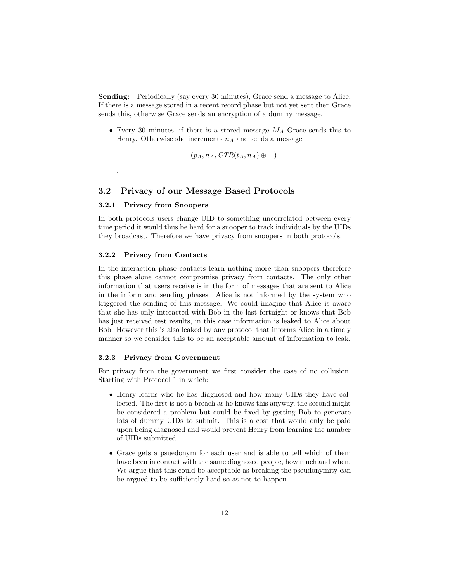Sending: Periodically (say every 30 minutes), Grace send a message to Alice. If there is a message stored in a recent record phase but not yet sent then Grace sends this, otherwise Grace sends an encryption of a dummy message.

• Every 30 minutes, if there is a stored message  $M_A$  Grace sends this to Henry. Otherwise she increments  $n_A$  and sends a message

$$
(p_A, n_A, CTR(t_A, n_A) \oplus \bot)
$$

### 3.2 Privacy of our Message Based Protocols

#### 3.2.1 Privacy from Snoopers

.

In both protocols users change UID to something uncorrelated between every time period it would thus be hard for a snooper to track individuals by the UIDs they broadcast. Therefore we have privacy from snoopers in both protocols.

#### 3.2.2 Privacy from Contacts

In the interaction phase contacts learn nothing more than snoopers therefore this phase alone cannot compromise privacy from contacts. The only other information that users receive is in the form of messages that are sent to Alice in the inform and sending phases. Alice is not informed by the system who triggered the sending of this message. We could imagine that Alice is aware that she has only interacted with Bob in the last fortnight or knows that Bob has just received test results, in this case information is leaked to Alice about Bob. However this is also leaked by any protocol that informs Alice in a timely manner so we consider this to be an acceptable amount of information to leak.

#### 3.2.3 Privacy from Government

For privacy from the government we first consider the case of no collusion. Starting with Protocol 1 in which:

- Henry learns who he has diagnosed and how many UIDs they have collected. The first is not a breach as he knows this anyway, the second might be considered a problem but could be fixed by getting Bob to generate lots of dummy UIDs to submit. This is a cost that would only be paid upon being diagnosed and would prevent Henry from learning the number of UIDs submitted.
- Grace gets a psuedonym for each user and is able to tell which of them have been in contact with the same diagnosed people, how much and when. We argue that this could be acceptable as breaking the pseudonymity can be argued to be sufficiently hard so as not to happen.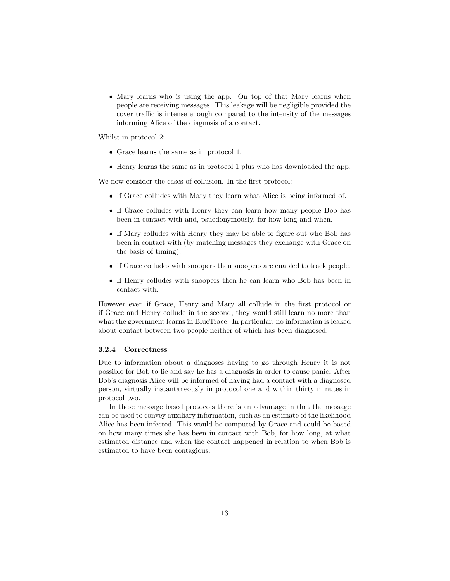• Mary learns who is using the app. On top of that Mary learns when people are receiving messages. This leakage will be negligible provided the cover traffic is intense enough compared to the intensity of the messages informing Alice of the diagnosis of a contact.

Whilst in protocol 2:

- Grace learns the same as in protocol 1.
- Henry learns the same as in protocol 1 plus who has downloaded the app.

We now consider the cases of collusion. In the first protocol:

- If Grace colludes with Mary they learn what Alice is being informed of.
- If Grace colludes with Henry they can learn how many people Bob has been in contact with and, psuedonymously, for how long and when.
- If Mary colludes with Henry they may be able to figure out who Bob has been in contact with (by matching messages they exchange with Grace on the basis of timing).
- If Grace colludes with snoopers then snoopers are enabled to track people.
- If Henry colludes with snoopers then he can learn who Bob has been in contact with.

However even if Grace, Henry and Mary all collude in the first protocol or if Grace and Henry collude in the second, they would still learn no more than what the government learns in BlueTrace. In particular, no information is leaked about contact between two people neither of which has been diagnosed.

#### 3.2.4 Correctness

Due to information about a diagnoses having to go through Henry it is not possible for Bob to lie and say he has a diagnosis in order to cause panic. After Bob's diagnosis Alice will be informed of having had a contact with a diagnosed person, virtually instantaneously in protocol one and within thirty minutes in protocol two.

In these message based protocols there is an advantage in that the message can be used to convey auxiliary information, such as an estimate of the likelihood Alice has been infected. This would be computed by Grace and could be based on how many times she has been in contact with Bob, for how long, at what estimated distance and when the contact happened in relation to when Bob is estimated to have been contagious.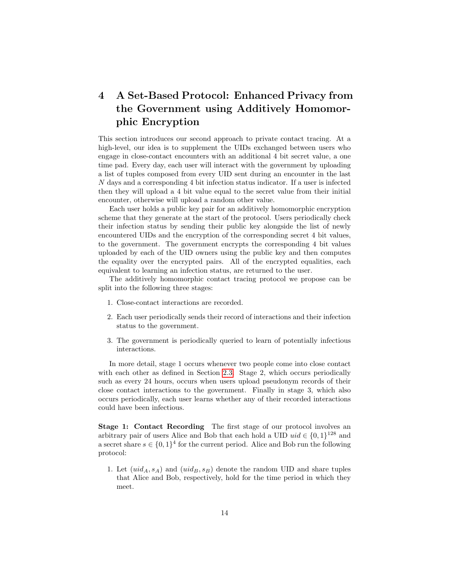# <span id="page-13-0"></span>4 A Set-Based Protocol: Enhanced Privacy from the Government using Additively Homomorphic Encryption

This section introduces our second approach to private contact tracing. At a high-level, our idea is to supplement the UIDs exchanged between users who engage in close-contact encounters with an additional 4 bit secret value, a one time pad. Every day, each user will interact with the government by uploading a list of tuples composed from every UID sent during an encounter in the last N days and a corresponding 4 bit infection status indicator. If a user is infected then they will upload a 4 bit value equal to the secret value from their initial encounter, otherwise will upload a random other value.

Each user holds a public key pair for an additively homomorphic encryption scheme that they generate at the start of the protocol. Users periodically check their infection status by sending their public key alongside the list of newly encountered UIDs and the encryption of the corresponding secret 4 bit values, to the government. The government encrypts the corresponding 4 bit values uploaded by each of the UID owners using the public key and then computes the equality over the encrypted pairs. All of the encrypted equalities, each equivalent to learning an infection status, are returned to the user.

The additively homomorphic contact tracing protocol we propose can be split into the following three stages:

- 1. Close-contact interactions are recorded.
- 2. Each user periodically sends their record of interactions and their infection status to the government.
- 3. The government is periodically queried to learn of potentially infectious interactions.

In more detail, stage 1 occurs whenever two people come into close contact with each other as defined in Section [2.3.](#page-5-0) Stage 2, which occurs periodically such as every 24 hours, occurs when users upload pseudonym records of their close contact interactions to the government. Finally in stage 3, which also occurs periodically, each user learns whether any of their recorded interactions could have been infectious.

Stage 1: Contact Recording The first stage of our protocol involves an arbitrary pair of users Alice and Bob that each hold a UID  $uid \in \{0,1\}^{128}$  and a secret share  $s \in \{0,1\}^4$  for the current period. Alice and Bob run the following protocol:

1. Let  $(uid_A, s_A)$  and  $(uid_B, s_B)$  denote the random UID and share tuples that Alice and Bob, respectively, hold for the time period in which they meet.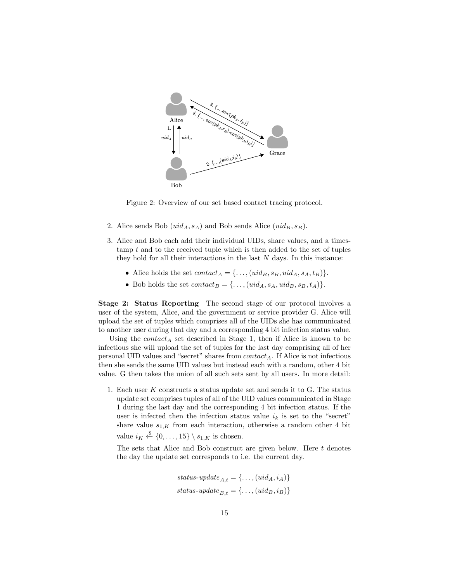

Figure 2: Overview of our set based contact tracing protocol.

- 2. Alice sends Bob  $(uid_A, s_A)$  and Bob sends Alice  $(uid_B, s_B)$ .
- 3. Alice and Bob each add their individual UIDs, share values, and a times- $\tanh t$  and to the received tuple which is then added to the set of tuples they hold for all their interactions in the last  $N$  days. In this instance:
	- Alice holds the set  $contact_A = \{ \dots, (uid_B, s_B, uid_A, s_A, t_B) \}.$
	- Bob holds the set  $contact_B = \{ \dots, (uid_A, s_A, uid_B, s_B, t_A) \}.$

Stage 2: Status Reporting The second stage of our protocol involves a user of the system, Alice, and the government or service provider G. Alice will upload the set of tuples which comprises all of the UIDs she has communicated to another user during that day and a corresponding 4 bit infection status value.

Using the  $contact_A$  set described in Stage 1, then if Alice is known to be infectious she will upload the set of tuples for the last day comprising all of her personal UID values and "secret" shares from  $contact_A$ . If Alice is not infectious then she sends the same UID values but instead each with a random, other 4 bit value. G then takes the union of all such sets sent by all users. In more detail:

1. Each user K constructs a status update set and sends it to G. The status update set comprises tuples of all of the UID values communicated in Stage 1 during the last day and the corresponding 4 bit infection status. If the user is infected then the infection status value  $i_k$  is set to the "secret" share value  $s_{1,K}$  from each interaction, otherwise a random other 4 bit value  $i_K \stackrel{\$}{\leftarrow} \{0, \ldots, 15\} \setminus s_{1,K}$  is chosen.

The sets that Alice and Bob construct are given below. Here  $t$  denotes the day the update set corresponds to i.e. the current day.

> status-update $A_t = \{ \dots, (uid_A, i_A) \}$ status-update $B_t = \{ \ldots, (uid_B, i_B) \}$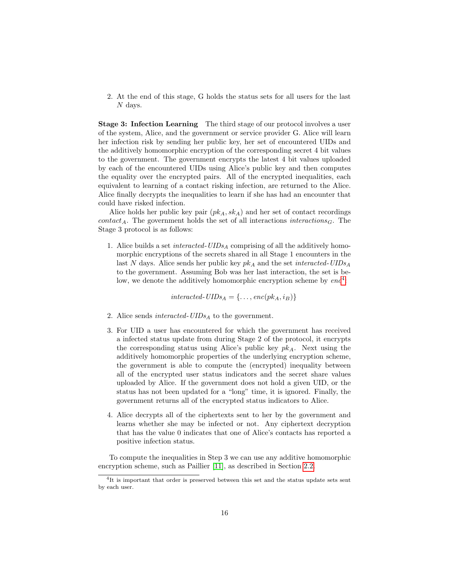2. At the end of this stage, G holds the status sets for all users for the last N days.

Stage 3: Infection Learning The third stage of our protocol involves a user of the system, Alice, and the government or service provider G. Alice will learn her infection risk by sending her public key, her set of encountered UIDs and the additively homomorphic encryption of the corresponding secret 4 bit values to the government. The government encrypts the latest 4 bit values uploaded by each of the encountered UIDs using Alice's public key and then computes the equality over the encrypted pairs. All of the encrypted inequalities, each equivalent to learning of a contact risking infection, are returned to the Alice. Alice finally decrypts the inequalities to learn if she has had an encounter that could have risked infection.

Alice holds her public key pair  $(pk_A, sk_A)$  and her set of contact recordings contact<sub>A</sub>. The government holds the set of all interactions interactions<sub>G</sub>. The Stage 3 protocol is as follows:

1. Alice builds a set *interacted-UIDs<sub>A</sub>* comprising of all the additively homomorphic encryptions of the secrets shared in all Stage 1 encounters in the last N days. Alice sends her public key  $pk_A$  and the set *interacted-UIDs<sub>A</sub>* to the government. Assuming Bob was her last interaction, the set is below, we denote the additively homomorphic encryption scheme by  $enc<sup>4</sup>$  $enc<sup>4</sup>$  $enc<sup>4</sup>$ :

interacted-UIDs<sub>A</sub> = {..., enc( $pk_A$ ,  $i_B$ )}

- 2. Alice sends *interacted-UIDs* $_A$  to the government.
- 3. For UID a user has encountered for which the government has received a infected status update from during Stage 2 of the protocol, it encrypts the corresponding status using Alice's public key  $pk_A$ . Next using the additively homomorphic properties of the underlying encryption scheme, the government is able to compute the (encrypted) inequality between all of the encrypted user status indicators and the secret share values uploaded by Alice. If the government does not hold a given UID, or the status has not been updated for a "long" time, it is ignored. Finally, the government returns all of the encrypted status indicators to Alice.
- 4. Alice decrypts all of the ciphertexts sent to her by the government and learns whether she may be infected or not. Any ciphertext decryption that has the value 0 indicates that one of Alice's contacts has reported a positive infection status.

To compute the inequalities in Step 3 we can use any additive homomorphic encryption scheme, such as Paillier [\[11\]](#page-20-7), as described in Section [2.2.](#page-5-1)

<span id="page-15-0"></span><sup>4</sup> It is important that order is preserved between this set and the status update sets sent by each user.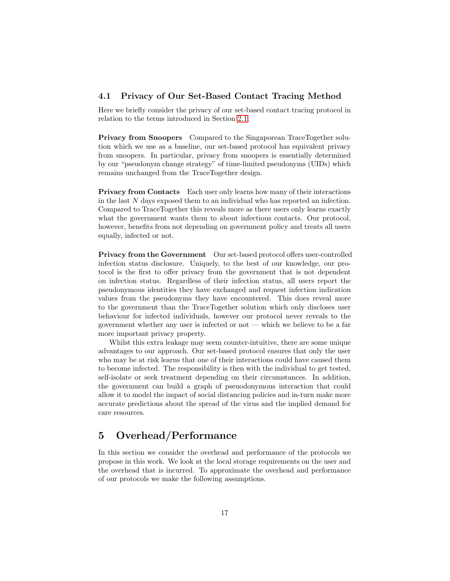# 4.1 Privacy of Our Set-Based Contact Tracing Method

Here we briefly consider the privacy of our set-based contact tracing protocol in relation to the terms introduced in Section [2.1.](#page-4-0)

Privacy from Snoopers Compared to the Singaporean TraceTogether solution which we use as a baseline, our set-based protocol has equivalent privacy from snoopers. In particular, privacy from snoopers is essentially determined by our "pseudonym change strategy" of time-limited pseudonyms (UIDs) which remains unchanged from the TraceTogether design.

Privacy from Contacts Each user only learns how many of their interactions in the last N days exposed them to an individual who has reported an infection. Compared to TraceTogether this reveals more as there users only learns exactly what the government wants them to about infectious contacts. Our protocol, however, benefits from not depending on government policy and treats all users equally, infected or not.

Privacy from the Government Our set-based protocol offers user-controlled infection status disclosure. Uniquely, to the best of our knowledge, our protocol is the first to offer privacy from the government that is not dependent on infection status. Regardless of their infection status, all users report the pseudonymous identities they have exchanged and request infection indication values from the pseudonyms they have encountered. This does reveal more to the government than the TraceTogether solution which only discloses user behaviour for infected individuals, however our protocol never reveals to the government whether any user is infected or not — which we believe to be a far more important privacy property.

Whilst this extra leakage may seem counter-intuitive, there are some unique advantages to our approach. Our set-based protocol ensures that only the user who may be at risk learns that one of their interactions could have caused them to become infected. The responsibility is then with the individual to get tested, self-isolate or seek treatment depending on their circumstances. In addition, the government can build a graph of pseuodonymous interaction that could allow it to model the impact of social distancing policies and in-turn make more accurate predictions about the spread of the virus and the implied demand for care resources.

# <span id="page-16-0"></span>5 Overhead/Performance

In this section we consider the overhead and performance of the protocols we propose in this work. We look at the local storage requirements on the user and the overhead that is incurred. To approximate the overhead and performance of our protocols we make the following assumptions.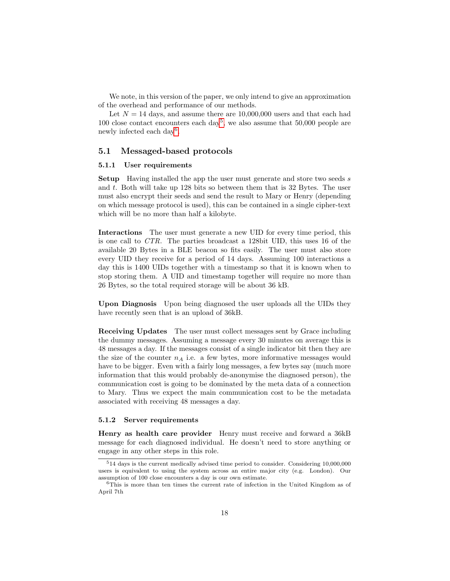We note, in this version of the paper, we only intend to give an approximation of the overhead and performance of our methods.

Let  $N = 14$  days, and assume there are 10,000,000 users and that each had 100 close contact encounters each day<sup>[5](#page-17-0)</sup>, we also assume that 50,000 people are newly infected each day<sup>[6](#page-17-1)</sup>.

# 5.1 Messaged-based protocols

### 5.1.1 User requirements

Setup Having installed the app the user must generate and store two seeds s and t. Both will take up 128 bits so between them that is  $32$  Bytes. The user must also encrypt their seeds and send the result to Mary or Henry (depending on which message protocol is used), this can be contained in a single cipher-text which will be no more than half a kilobyte.

Interactions The user must generate a new UID for every time period, this is one call to CTR. The parties broadcast a 128bit UID, this uses 16 of the available 20 Bytes in a BLE beacon so fits easily. The user must also store every UID they receive for a period of 14 days. Assuming 100 interactions a day this is 1400 UIDs together with a timestamp so that it is known when to stop storing them. A UID and timestamp together will require no more than 26 Bytes, so the total required storage will be about 36 kB.

Upon Diagnosis Upon being diagnosed the user uploads all the UIDs they have recently seen that is an upload of 36kB.

Receiving Updates The user must collect messages sent by Grace including the dummy messages. Assuming a message every 30 minutes on average this is 48 messages a day. If the messages consist of a single indicator bit then they are the size of the counter  $n_A$  i.e. a few bytes, more informative messages would have to be bigger. Even with a fairly long messages, a few bytes say (much more information that this would probably de-anonymise the diagnosed person), the communication cost is going to be dominated by the meta data of a connection to Mary. Thus we expect the main communication cost to be the metadata associated with receiving 48 messages a day.

#### 5.1.2 Server requirements

Henry as health care provider Henry must receive and forward a 36kB message for each diagnosed individual. He doesn't need to store anything or engage in any other steps in this role.

<span id="page-17-0"></span><sup>5</sup>14 days is the current medically advised time period to consider. Considering 10,000,000 users is equivalent to using the system across an entire major city (e.g. London). Our assumption of 100 close encounters a day is our own estimate.

<span id="page-17-1"></span> $6$ This is more than ten times the current rate of infection in the United Kingdom as of April 7th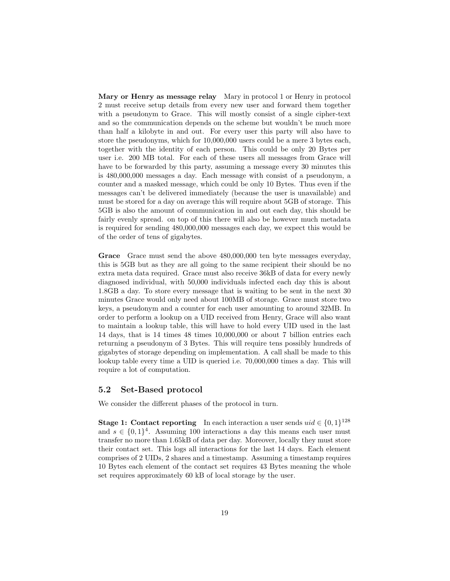Mary or Henry as message relay Mary in protocol 1 or Henry in protocol 2 must receive setup details from every new user and forward them together with a pseudonym to Grace. This will mostly consist of a single cipher-text and so the communication depends on the scheme but wouldn't be much more than half a kilobyte in and out. For every user this party will also have to store the pseudonyms, which for 10,000,000 users could be a mere 3 bytes each, together with the identity of each person. This could be only 20 Bytes per user i.e. 200 MB total. For each of these users all messages from Grace will have to be forwarded by this party, assuming a message every 30 minutes this is 480,000,000 messages a day. Each message with consist of a pseudonym, a counter and a masked message, which could be only 10 Bytes. Thus even if the messages can't be delivered immediately (because the user is unavailable) and must be stored for a day on average this will require about 5GB of storage. This 5GB is also the amount of communication in and out each day, this should be fairly evenly spread. on top of this there will also be however much metadata is required for sending 480,000,000 messages each day, we expect this would be of the order of tens of gigabytes.

Grace Grace must send the above 480,000,000 ten byte messages everyday, this is 5GB but as they are all going to the same recipient their should be no extra meta data required. Grace must also receive 36kB of data for every newly diagnosed individual, with 50,000 individuals infected each day this is about 1.8GB a day. To store every message that is waiting to be sent in the next 30 minutes Grace would only need about 100MB of storage. Grace must store two keys, a pseudonym and a counter for each user amounting to around 32MB. In order to perform a lookup on a UID received from Henry, Grace will also want to maintain a lookup table, this will have to hold every UID used in the last 14 days, that is 14 times 48 times 10,000,000 or about 7 billion entries each returning a pseudonym of 3 Bytes. This will require tens possibly hundreds of gigabytes of storage depending on implementation. A call shall be made to this lookup table every time a UID is queried i.e. 70,000,000 times a day. This will require a lot of computation.

### 5.2 Set-Based protocol

We consider the different phases of the protocol in turn.

**Stage 1: Contact reporting** In each interaction a user sends  $uid \in \{0,1\}^{128}$ and  $s \in \{0,1\}^4$ . Assuming 100 interactions a day this means each user must transfer no more than 1.65kB of data per day. Moreover, locally they must store their contact set. This logs all interactions for the last 14 days. Each element comprises of 2 UIDs, 2 shares and a timestamp. Assuming a timestamp requires 10 Bytes each element of the contact set requires 43 Bytes meaning the whole set requires approximately 60 kB of local storage by the user.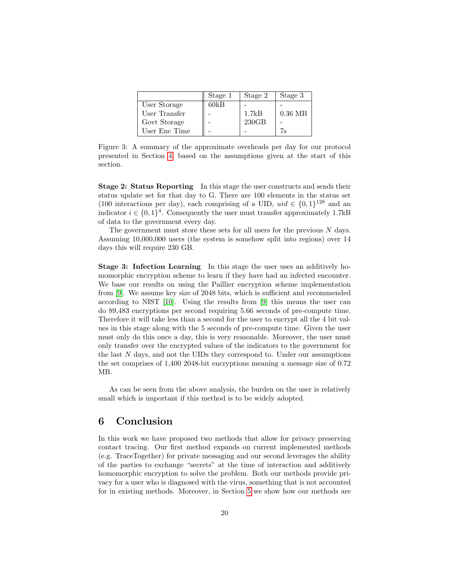|               | Stage 1 | Stage 2 | Stage 3   |
|---------------|---------|---------|-----------|
| User Storage  | 60kB    |         |           |
| User Transfer |         | 1.7kB   | $0.36$ MB |
| Govt Storage  |         | 230GB   |           |
| User Enc Time |         |         | 7s        |

Figure 3: A summary of the approximate overheads per day for our protocol presented in Section [4,](#page-13-0) based on the assumptions given at the start of this section.

Stage 2: Status Reporting In this stage the user constructs and sends their status update set for that day to G. There are 100 elements in the status set (100 interactions per day), each comprising of a UID,  $uid \in \{0,1\}^{128}$  and an indicator  $i \in \{0,1\}^4$ . Consequently the user must transfer approximately 1.7kB of data to the government every day.

The government must store these sets for all users for the previous  $N$  days. Assuming 10,000,000 users (the system is somehow split into regions) over 14 days this will require 230 GB.

Stage 3: Infection Learning In this stage the user uses an additively homomorphic encryption scheme to learn if they have had an infected encounter. We base our results on using the Paillier encryption scheme implementation from [\[9\]](#page-20-9). We assume key size of 2048 bits, which is sufficient and recommended according to NIST [\[10\]](#page-20-10). Using the results from [\[9\]](#page-20-9) this means the user can do 89,483 encryptions per second requiring 5.66 seconds of pre-compute time. Therefore it will take less than a second for the user to encrypt all the 4 bit values in this stage along with the 5 seconds of pre-compute time. Given the user must only do this once a day, this is very reasonable. Moreover, the user must only transfer over the encrypted values of the indicators to the government for the last  $N$  days, and not the UIDs they correspond to. Under our assumptions the set comprises of 1,400 2048-bit encryptions meaning a message size of 0.72 MB.

As can be seen from the above analysis, the burden on the user is relatively small which is important if this method is to be widely adopted.

# 6 Conclusion

In this work we have proposed two methods that allow for privacy preserving contact tracing. Our first method expands on current implemented methods (e.g. TraceTogether) for private messaging and our second leverages the ability of the parties to exchange "secrets" at the time of interaction and additively homomorphic encryption to solve the problem. Both our methods provide privacy for a user who is diagnosed with the virus, something that is not accounted for in existing methods. Moreover, in Section [5](#page-16-0) we show how our methods are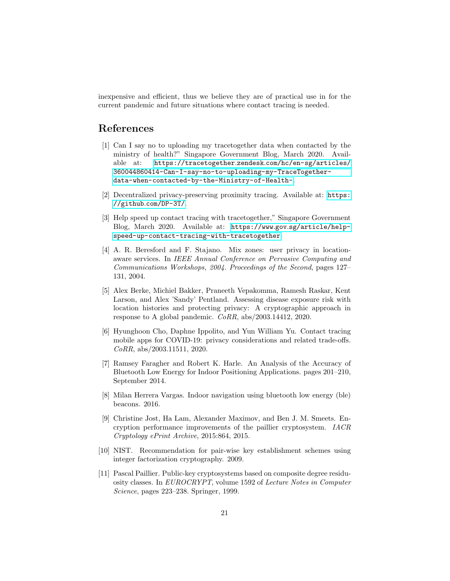inexpensive and efficient, thus we believe they are of practical use in for the current pandemic and future situations where contact tracing is needed.

# References

- <span id="page-20-4"></span>[1] Can I say no to uploading my tracetogether data when contacted by the ministry of health?" Singapore Government Blog, March 2020. Available at: https://tracetogether.zendesk.[com/hc/en-sg/articles/](https://tracetogether.zendesk.com/ hc/en-sg/articles/360044860414-Can-I-say-no- to-uploading-my-TraceTogether-data-when- contacted-by-the-Ministry-of-Health-) [360044860414-Can-I-say-no-to-uploading-my-TraceTogether](https://tracetogether.zendesk.com/ hc/en-sg/articles/360044860414-Can-I-say-no- to-uploading-my-TraceTogether-data-when- contacted-by-the-Ministry-of-Health-)[data-when-contacted-by-the-Ministry-of-Health-](https://tracetogether.zendesk.com/ hc/en-sg/articles/360044860414-Can-I-say-no- to-uploading-my-TraceTogether-data-when- contacted-by-the-Ministry-of-Health-).
- <span id="page-20-5"></span>[2] Decentralized privacy-preserving proximity tracing. Available at: [https:](https://github.com/DP-3T/) //github.[com/DP-3T/](https://github.com/DP-3T/).
- <span id="page-20-3"></span>[3] Help speed up contact tracing with tracetogether," Singapore Government Blog, March 2020. Available at: https://www.gov.[sg/article/help](https://www.gov.sg/article/help-speed-up-contact-tracing-with-tracetogether)[speed-up-contact-tracing-with-tracetogether](https://www.gov.sg/article/help-speed-up-contact-tracing-with-tracetogether).
- <span id="page-20-6"></span>[4] A. R. Beresford and F. Stajano. Mix zones: user privacy in locationaware services. In IEEE Annual Conference on Pervasive Computing and Communications Workshops, 2004. Proceedings of the Second, pages 127– 131, 2004.
- <span id="page-20-1"></span>[5] Alex Berke, Michiel Bakker, Praneeth Vepakomma, Ramesh Raskar, Kent Larson, and Alex 'Sandy' Pentland. Assessing disease exposure risk with location histories and protecting privacy: A cryptographic approach in response to A global pandemic. CoRR, abs/2003.14412, 2020.
- <span id="page-20-0"></span>[6] Hyunghoon Cho, Daphne Ippolito, and Yun William Yu. Contact tracing mobile apps for COVID-19: privacy considerations and related trade-offs. CoRR, abs/2003.11511, 2020.
- <span id="page-20-2"></span>[7] Ramsey Faragher and Robert K. Harle. An Analysis of the Accuracy of Bluetooth Low Energy for Indoor Positioning Applications. pages 201–210, September 2014.
- <span id="page-20-8"></span>[8] Milan Herrera Vargas. Indoor navigation using bluetooth low energy (ble) beacons. 2016.
- <span id="page-20-9"></span>[9] Christine Jost, Ha Lam, Alexander Maximov, and Ben J. M. Smeets. Encryption performance improvements of the paillier cryptosystem. IACR Cryptology ePrint Archive, 2015:864, 2015.
- <span id="page-20-10"></span>[10] NIST. Recommendation for pair-wise key establishment schemes using integer factorization cryptography. 2009.
- <span id="page-20-7"></span>[11] Pascal Paillier. Public-key cryptosystems based on composite degree residuosity classes. In EUROCRYPT, volume 1592 of Lecture Notes in Computer Science, pages 223–238. Springer, 1999.